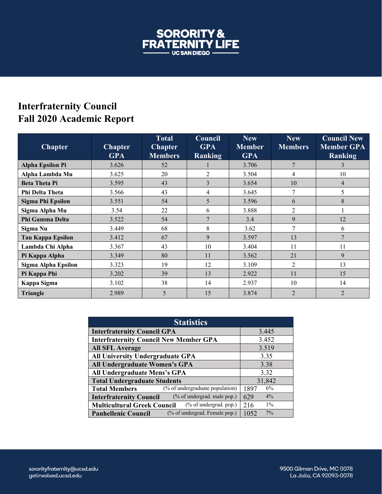

## **Interfraternity Council Fall 2020 Academic Report**

| <b>Chapter</b>           | <b>Chapter</b><br><b>GPA</b> | Total<br><b>Chapter</b><br><b>Members</b> | Council<br><b>GPA</b><br><b>Ranking</b> | <b>New</b><br><b>Member</b><br><b>GPA</b> | <b>New</b><br><b>Members</b> | <b>Council New</b><br><b>Member GPA</b><br>Ranking |
|--------------------------|------------------------------|-------------------------------------------|-----------------------------------------|-------------------------------------------|------------------------------|----------------------------------------------------|
| <b>Alpha Epsilon Pi</b>  | 3.626                        | 52                                        |                                         | 3.706                                     | $\overline{7}$               | 3                                                  |
| Alpha Lambda Mu          | 3.625                        | 20                                        | $\overline{2}$                          | 3.504                                     | $\overline{4}$               | 10                                                 |
| <b>Beta Theta Pi</b>     | 3.595                        | 43                                        | 3                                       | 3.654                                     | 10                           | 4                                                  |
| Phi Delta Theta          | 3.566                        | 43                                        | 4                                       | 3.645                                     | 7                            | 5                                                  |
| <b>Sigma Phi Epsilon</b> | 3.551                        | 54                                        | 5                                       | 3.596                                     | 6                            | 8                                                  |
| Sigma Alpha Mu           | 3.54                         | 22                                        | 6                                       | 3.888                                     | 2                            |                                                    |
| Phi Gamma Delta          | 3.522                        | 54                                        | $\overline{7}$                          | 3.4                                       | 9                            | 12                                                 |
| Sigma Nu                 | 3.449                        | 68                                        | 8                                       | 3.62                                      | 7                            | 6                                                  |
| <b>Tau Kappa Epsilon</b> | 3.412                        | 67                                        | 9                                       | 3.597                                     | 13                           | $\mathbf{7}$                                       |
| Lambda Chi Alpha         | 3.367                        | 43                                        | 10                                      | 3.404                                     | 11                           | 11                                                 |
| Pi Kappa Alpha           | 3.349                        | 80                                        | 11                                      | 3.562                                     | 21                           | 9                                                  |
| Sigma Alpha Epsilon      | 3.323                        | 19                                        | 12                                      | 3.109                                     | $\overline{c}$               | 13                                                 |
| Pi Kappa Phi             | 3.202                        | 39                                        | 13                                      | 2.922                                     | 11                           | 15                                                 |
| Kappa Sigma              | 3.102                        | 38                                        | 14                                      | 2.937                                     | 10                           | 14                                                 |
| <b>Triangle</b>          | 2.989                        | 5                                         | 15                                      | 3.874                                     | $\overline{2}$               | $\overline{2}$                                     |

| <b>Statistics</b>                                             |               |  |  |  |
|---------------------------------------------------------------|---------------|--|--|--|
| <b>Interfraternity Council GPA</b>                            | 3.445         |  |  |  |
| <b>Interfraternity Council New Member GPA</b>                 | 3.452         |  |  |  |
| <b>All SFL Average</b>                                        | 3.519         |  |  |  |
| All University Undergraduate GPA                              | 3.35          |  |  |  |
| All Undergraduate Women's GPA                                 | 3.38          |  |  |  |
| All Undergraduate Mens's GPA                                  | 3.32          |  |  |  |
| <b>Total Undergraduate Students</b>                           | 31,842        |  |  |  |
| (% of undergraduate population)<br><b>Total Members</b>       | 6%<br>1897    |  |  |  |
| (% of undergrad. male pop.)<br><b>Interfraternity Council</b> | 4%<br>629     |  |  |  |
| (% of undergrad. pop.)<br><b>Multicultural Greek Council</b>  | $1\%$<br>216  |  |  |  |
| (% of undergrad. Female pop.)<br><b>Panhellenic Council</b>   | $7\%$<br>1052 |  |  |  |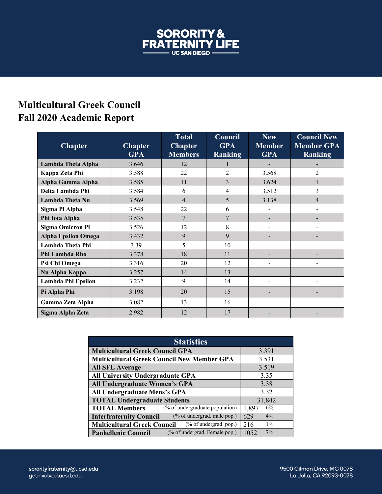

## **Multicultural Greek Council Fall 2020 Academic Report**

| <b>Chapter</b>             | <b>Chapter</b><br><b>GPA</b> | <b>Total</b><br><b>Chapter</b><br><b>Members</b> | Council<br><b>GPA</b><br><b>Ranking</b> | <b>New</b><br><b>Member</b><br><b>GPA</b> | $\overline{\text{Council New}}$<br><b>Member GPA</b><br><b>Ranking</b> |
|----------------------------|------------------------------|--------------------------------------------------|-----------------------------------------|-------------------------------------------|------------------------------------------------------------------------|
| Lambda Theta Alpha         | 3.646                        | 12                                               |                                         |                                           |                                                                        |
| Kappa Zeta Phi             | 3.588                        | 22                                               | $\overline{2}$                          | 3.568                                     | $\overline{c}$                                                         |
| Alpha Gamma Alpha          | 3.585                        | 11                                               | 3                                       | 3.624                                     |                                                                        |
| Delta Lambda Phi           | 3.584                        | 6                                                | 4                                       | 3.512                                     | 3                                                                      |
| <b>Lambda Theta Nu</b>     | 3.569                        | $\overline{4}$                                   | 5                                       | 3.138                                     | 4                                                                      |
| Sigma Pi Alpha             | 3.548                        | 22                                               | 6                                       | $\overline{\phantom{0}}$                  |                                                                        |
| Phi Iota Alpha             | 3.535                        | 7                                                | $\overline{7}$                          | -                                         |                                                                        |
| <b>Sigma Omicron Pi</b>    | 3.526                        | 12                                               | 8                                       | $\overline{\phantom{a}}$                  | $\blacksquare$                                                         |
| <b>Alpha Epsilon Omega</b> | 3.432                        | 9                                                | 9                                       | -                                         |                                                                        |
| Lambda Theta Phi           | 3.39                         | 5                                                | 10                                      | $\qquad \qquad \blacksquare$              |                                                                        |
| Phi Lambda Rho             | 3.378                        | 18                                               | 11                                      | -                                         |                                                                        |
| Psi Chi Omega              | 3.316                        | 20                                               | 12                                      |                                           |                                                                        |
| Nu Alpha Kappa             | 3.257                        | 14                                               | 13                                      | $\overline{\phantom{0}}$                  |                                                                        |
| Lambda Phi Epsilon         | 3.232                        | 9                                                | 14                                      | -                                         |                                                                        |
| Pi Alpha Phi               | 3.198                        | 20                                               | 15                                      | -                                         |                                                                        |
| Gamma Zeta Alpha           | 3.082                        | 13                                               | 16                                      | -                                         |                                                                        |
| Sigma Alpha Zeta           | 2.982                        | 12                                               | 17                                      |                                           |                                                                        |

| <b>Statistics</b>                                               |               |  |  |  |  |
|-----------------------------------------------------------------|---------------|--|--|--|--|
| <b>Multicultural Greek Council GPA</b>                          | 3.391         |  |  |  |  |
| <b>Multicultural Greek Council New Member GPA</b>               | 3.531         |  |  |  |  |
| <b>All SFL Average</b>                                          | 3.519         |  |  |  |  |
| <b>All University Undergraduate GPA</b>                         | 3.35          |  |  |  |  |
| All Undergraduate Women's GPA                                   | 3.38          |  |  |  |  |
| All Undergraduate Mens's GPA                                    | 3.32          |  |  |  |  |
| <b>TOTAL Undergraduate Students</b>                             | 31,842        |  |  |  |  |
| (% of undergraduate population)<br><b>TOTAL Members</b>         | 6%<br>1,897   |  |  |  |  |
| (% of undergrad. male pop.)<br><b>Interfraternity Council</b>   | $4\%$<br>629  |  |  |  |  |
| $(\%$ of undergrad. pop.)<br><b>Multicultural Greek Council</b> | $1\%$<br>216  |  |  |  |  |
| (% of undergrad. Female pop.)<br><b>Panhellenic Council</b>     | $7\%$<br>1052 |  |  |  |  |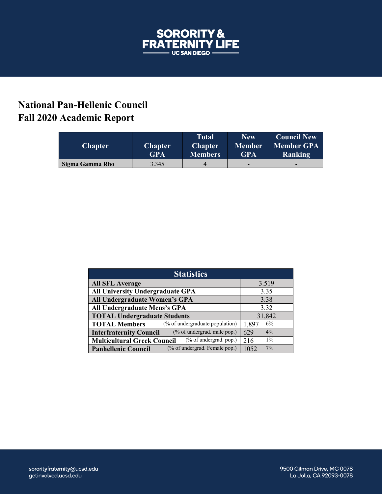

## **National Pan-Hellenic Council Fall 2020 Academic Report**

| <b>Chapter</b>  | <b>Chapter</b><br><b>GPA</b> | Total<br><b>Chapter</b><br>Members' | <b>New</b><br>Member<br><b>GPA</b> | <b>Council New</b><br><b>Member GPA</b><br>Ranking |
|-----------------|------------------------------|-------------------------------------|------------------------------------|----------------------------------------------------|
| Sigma Gamma Rho | 3.345                        | 4                                   | -                                  | $\overline{\phantom{0}}$                           |

| <b>Statistics</b>                                             |               |  |  |  |
|---------------------------------------------------------------|---------------|--|--|--|
| <b>All SFL Average</b>                                        | 3.519         |  |  |  |
| All University Undergraduate GPA                              | 3.35          |  |  |  |
| All Undergraduate Women's GPA                                 | 3.38          |  |  |  |
| All Undergraduate Mens's GPA                                  | 3.32          |  |  |  |
| <b>TOTAL Undergraduate Students</b>                           | 31,842        |  |  |  |
| (% of undergraduate population)<br><b>TOTAL Members</b>       | 6%<br>1,897   |  |  |  |
| (% of undergrad. male pop.)<br><b>Interfraternity Council</b> | 629<br>$4\%$  |  |  |  |
| (% of undergrad. pop.)<br><b>Multicultural Greek Council</b>  | $1\%$<br>216  |  |  |  |
| (% of undergrad. Female pop.)<br><b>Panhellenic Council</b>   | $7\%$<br>1052 |  |  |  |